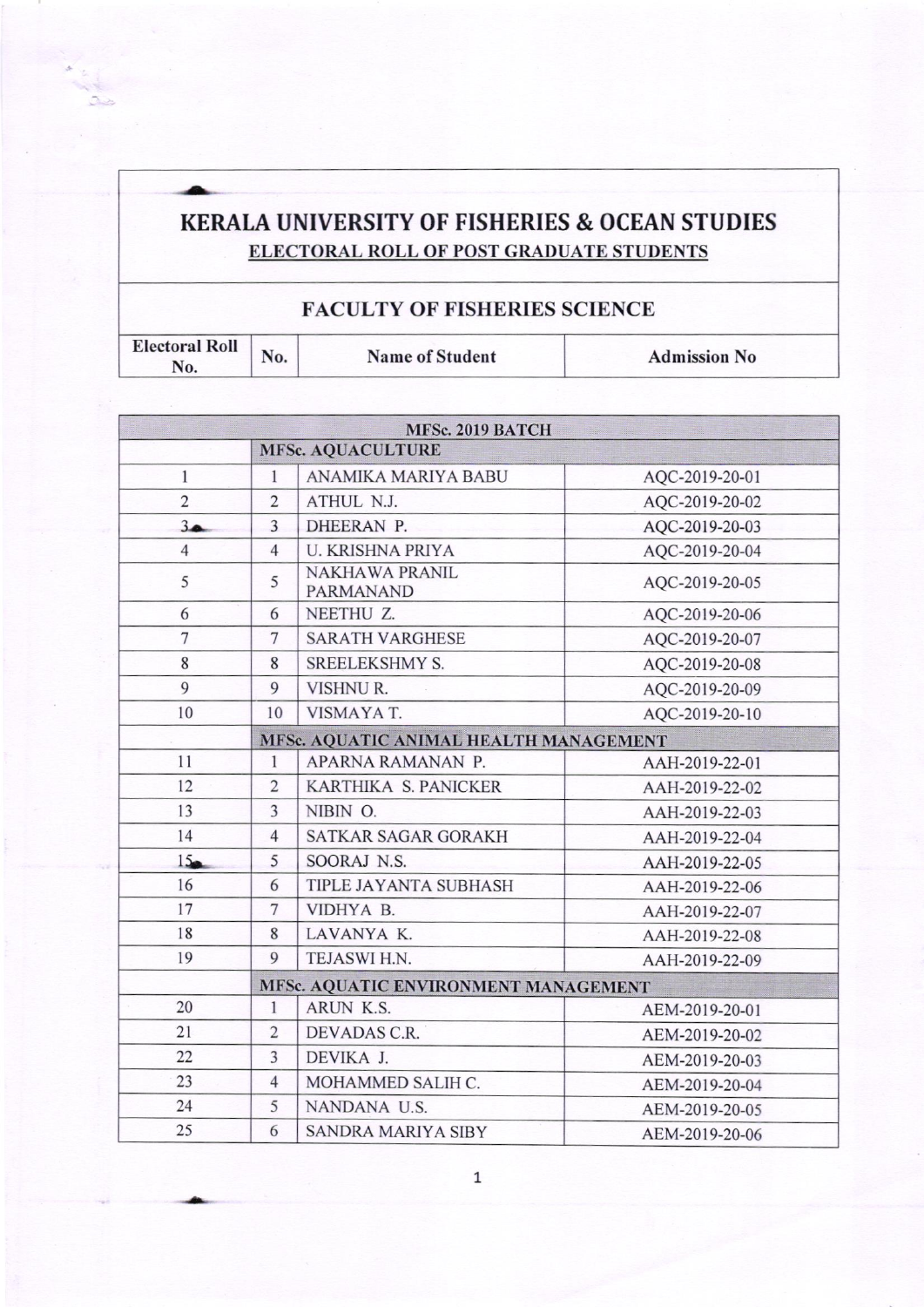## **KERALA UNIVERSITY OF FISHERIES & OCEAN STUDIES** ELECTORAL ROLL OF POST GRADUATE STUDENTS

## **FACULTY OF FISHERIES SCIENCE**

| <b>Electoral Roll</b> | No. |  |
|-----------------------|-----|--|
| No.                   |     |  |

**Name of Student** 

**Admission No** 

|                 |                | <b>MFSc. 2019 BATCH</b>                |                |  |  |  |
|-----------------|----------------|----------------------------------------|----------------|--|--|--|
|                 |                | <b>MFSc. AQUACULTURE</b>               |                |  |  |  |
| $\mathbf{1}$    | 1              | ANAMIKA MARIYA BABU                    | AQC-2019-20-01 |  |  |  |
| $\overline{2}$  | $\overline{2}$ | ATHUL N.J.                             | AQC-2019-20-02 |  |  |  |
| $3 -$           | $\overline{3}$ | DHEERAN P.                             | AQC-2019-20-03 |  |  |  |
| $\overline{4}$  | $\overline{4}$ | <b>U. KRISHNA PRIYA</b>                | AQC-2019-20-04 |  |  |  |
| 5               | 5              | NAKHAWA PRANIL<br><b>PARMANAND</b>     | AQC-2019-20-05 |  |  |  |
| 6               | 6              | NEETHU Z.                              | AQC-2019-20-06 |  |  |  |
| $\overline{7}$  | $\overline{7}$ | <b>SARATH VARGHESE</b>                 | AQC-2019-20-07 |  |  |  |
| 8               | 8              | <b>SREELEKSHMY S.</b>                  | AQC-2019-20-08 |  |  |  |
| 9               | 9              | VISHNUR.                               | AQC-2019-20-09 |  |  |  |
| 10              | 10             | VISMAYA T.                             | AQC-2019-20-10 |  |  |  |
|                 |                | MFSc. AQUATIC ANIMAL HEALTH MANAGEMENT |                |  |  |  |
| 11              | 1              | APARNA RAMANAN P.                      | AAH-2019-22-01 |  |  |  |
| 12              | $\overline{2}$ | <b>KARTHIKA S. PANICKER</b>            | AAH-2019-22-02 |  |  |  |
| 13              | 3              | NIBIN O.                               | AAH-2019-22-03 |  |  |  |
| 14              | $\overline{4}$ | <b>SATKAR SAGAR GORAKH</b>             | AAH-2019-22-04 |  |  |  |
| 15 <sub>o</sub> | 5              | SOORAJ N.S.                            | AAH-2019-22-05 |  |  |  |
| 16              | 6              | TIPLE JAYANTA SUBHASH                  | AAH-2019-22-06 |  |  |  |
| 17              | $\overline{7}$ | VIDHYA B.                              | AAH-2019-22-07 |  |  |  |
| 18              | 8              | LAVANYA K.                             | AAH-2019-22-08 |  |  |  |
| 19              | 9              | TEJASWI H.N.                           | AAH-2019-22-09 |  |  |  |
|                 |                | MFSc. AQUATIC ENVIRONMENT MANAGEMENT   |                |  |  |  |
| 20              | $\mathbf{1}$   | ARUN K.S.                              | AEM-2019-20-01 |  |  |  |
| 21              | $\overline{2}$ | DEVADAS C.R.                           | AEM-2019-20-02 |  |  |  |
| 22              | $\overline{3}$ | DEVIKA J.                              | AEM-2019-20-03 |  |  |  |
| 23              | $\overline{4}$ | MOHAMMED SALIH C.                      | AEM-2019-20-04 |  |  |  |
| 24              | 5              | NANDANA U.S.                           | AEM-2019-20-05 |  |  |  |
| 25              | 6              | <b>SANDRA MARIYA SIBY</b>              | AEM-2019-20-06 |  |  |  |